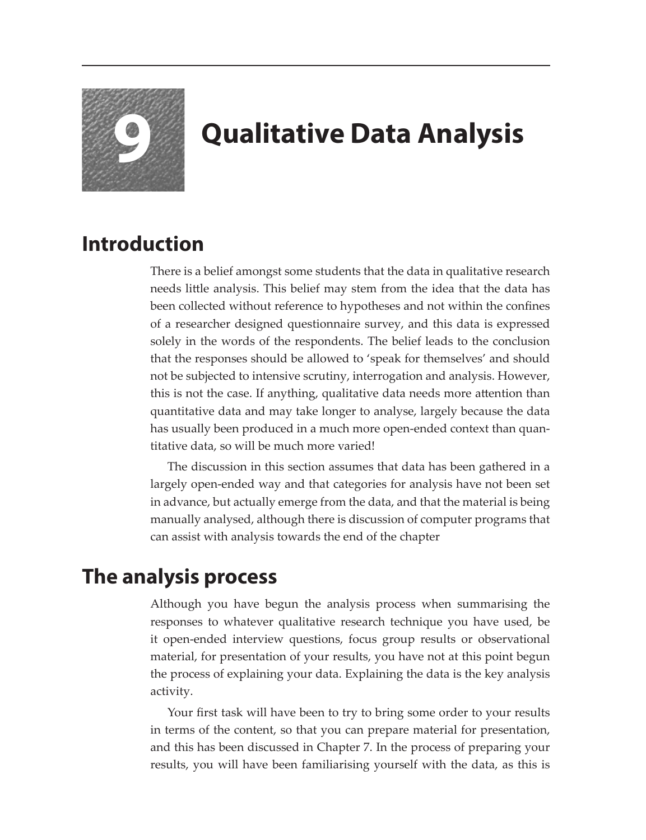

# **9 Qualitative Data Analysis**

## **Introduction**

There is a belief amongst some students that the data in qualitative research needs little analysis. This belief may stem from the idea that the data has been collected without reference to hypotheses and not within the confines of a researcher designed questionnaire survey, and this data is expressed solely in the words of the respondents. The belief leads to the conclusion that the responses should be allowed to 'speak for themselves' and should not be subjected to intensive scrutiny, interrogation and analysis. However, this is not the case. If anything, qualitative data needs more attention than quantitative data and may take longer to analyse, largely because the data has usually been produced in a much more open-ended context than quantitative data, so will be much more varied!

The discussion in this section assumes that data has been gathered in a largely open-ended way and that categories for analysis have not been set in advance, but actually emerge from the data, and that the material is being manually analysed, although there is discussion of computer programs that can assist with analysis towards the end of the chapter

### **The analysis process**

Although you have begun the analysis process when summarising the responses to whatever qualitative research technique you have used, be it open-ended interview questions, focus group results or observational material, for presentation of your results, you have not at this point begun the process of explaining your data. Explaining the data is the key analysis activity.

Your first task will have been to try to bring some order to your results in terms of the content, so that you can prepare material for presentation, and this has been discussed in Chapter 7. In the process of preparing your results, you will have been familiarising yourself with the data, as this is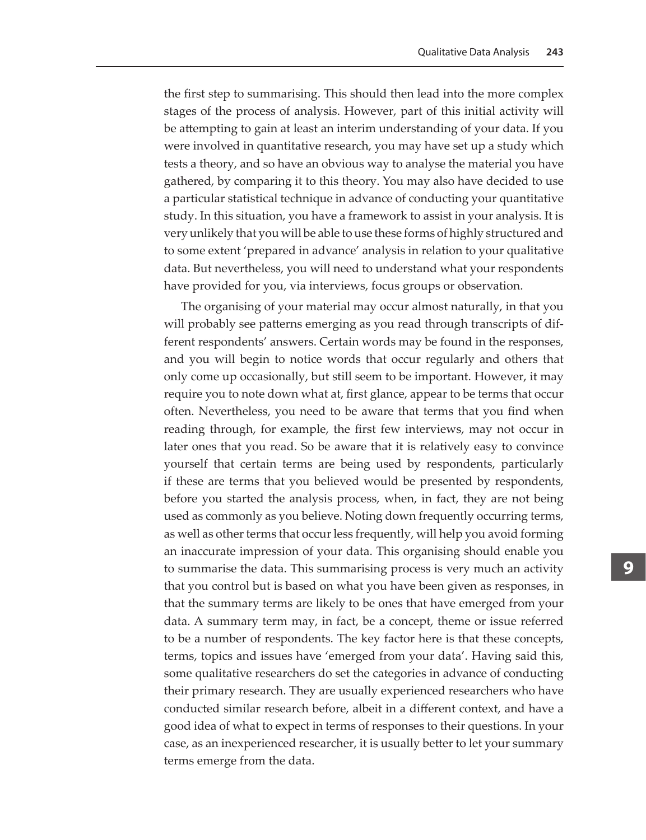the first step to summarising. This should then lead into the more complex stages of the process of analysis. However, part of this initial activity will be attempting to gain at least an interim understanding of your data. If you were involved in quantitative research, you may have set up a study which tests a theory, and so have an obvious way to analyse the material you have gathered, by comparing it to this theory. You may also have decided to use a particular statistical technique in advance of conducting your quantitative study. In this situation, you have a framework to assist in your analysis. It is very unlikely that you will be able to use these forms of highly structured and to some extent 'prepared in advance' analysis in relation to your qualitative data. But nevertheless, you will need to understand what your respondents have provided for you, via interviews, focus groups or observation.

The organising of your material may occur almost naturally, in that you will probably see patterns emerging as you read through transcripts of different respondents' answers. Certain words may be found in the responses, and you will begin to notice words that occur regularly and others that only come up occasionally, but still seem to be important. However, it may require you to note down what at, first glance, appear to be terms that occur often. Nevertheless, you need to be aware that terms that you find when reading through, for example, the first few interviews, may not occur in later ones that you read. So be aware that it is relatively easy to convince yourself that certain terms are being used by respondents, particularly if these are terms that you believed would be presented by respondents, before you started the analysis process, when, in fact, they are not being used as commonly as you believe. Noting down frequently occurring terms, as well as other terms that occur less frequently, will help you avoid forming an inaccurate impression of your data. This organising should enable you to summarise the data. This summarising process is very much an activity that you control but is based on what you have been given as responses, in that the summary terms are likely to be ones that have emerged from your data. A summary term may, in fact, be a concept, theme or issue referred to be a number of respondents. The key factor here is that these concepts, terms, topics and issues have 'emerged from your data'. Having said this, some qualitative researchers do set the categories in advance of conducting their primary research. They are usually experienced researchers who have conducted similar research before, albeit in a different context, and have a good idea of what to expect in terms of responses to their questions. In your case, as an inexperienced researcher, it is usually better to let your summary terms emerge from the data.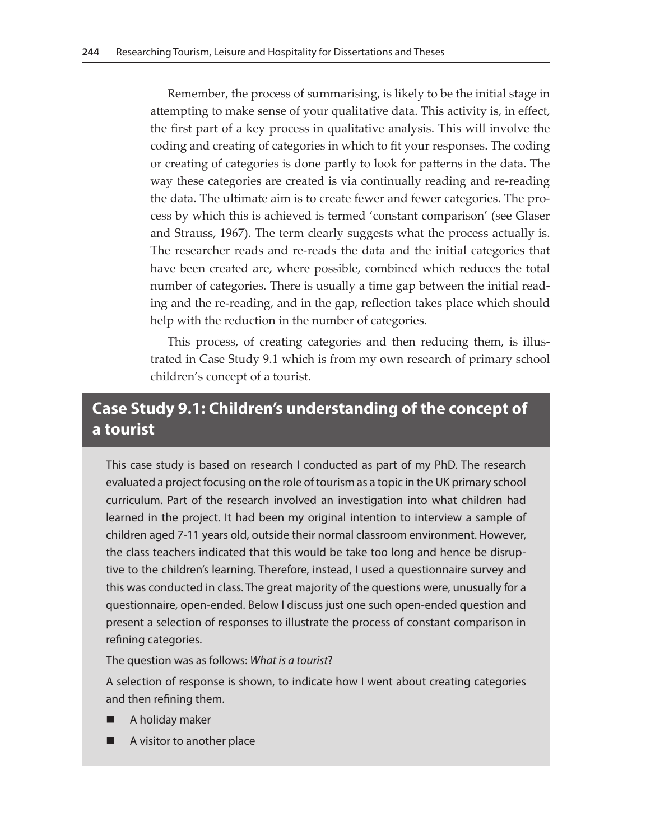Remember, the process of summarising, is likely to be the initial stage in attempting to make sense of your qualitative data. This activity is, in effect, the first part of a key process in qualitative analysis. This will involve the coding and creating of categories in which to fit your responses. The coding or creating of categories is done partly to look for patterns in the data. The way these categories are created is via continually reading and re-reading the data. The ultimate aim is to create fewer and fewer categories. The process by which this is achieved is termed 'constant comparison' (see Glaser and Strauss, 1967). The term clearly suggests what the process actually is. The researcher reads and re-reads the data and the initial categories that have been created are, where possible, combined which reduces the total number of categories. There is usually a time gap between the initial reading and the re-reading, and in the gap, reflection takes place which should help with the reduction in the number of categories.

This process, of creating categories and then reducing them, is illustrated in Case Study 9.1 which is from my own research of primary school children's concept of a tourist.

#### **Case Study 9.1: Children's understanding of the concept of a tourist**

This case study is based on research I conducted as part of my PhD. The research evaluated a project focusing on the role of tourism as a topic in the UK primary school curriculum. Part of the research involved an investigation into what children had learned in the project. It had been my original intention to interview a sample of children aged 7-11 years old, outside their normal classroom environment. However, the class teachers indicated that this would be take too long and hence be disruptive to the children's learning. Therefore, instead, I used a questionnaire survey and this was conducted in class. The great majority of the questions were, unusually for a questionnaire, open-ended. Below I discuss just one such open-ended question and present a selection of responses to illustrate the process of constant comparison in refining categories.

#### The question was as follows: *What is a tourist*?

A selection of response is shown, to indicate how I went about creating categories and then refining them.

- A holiday maker
- A visitor to another place